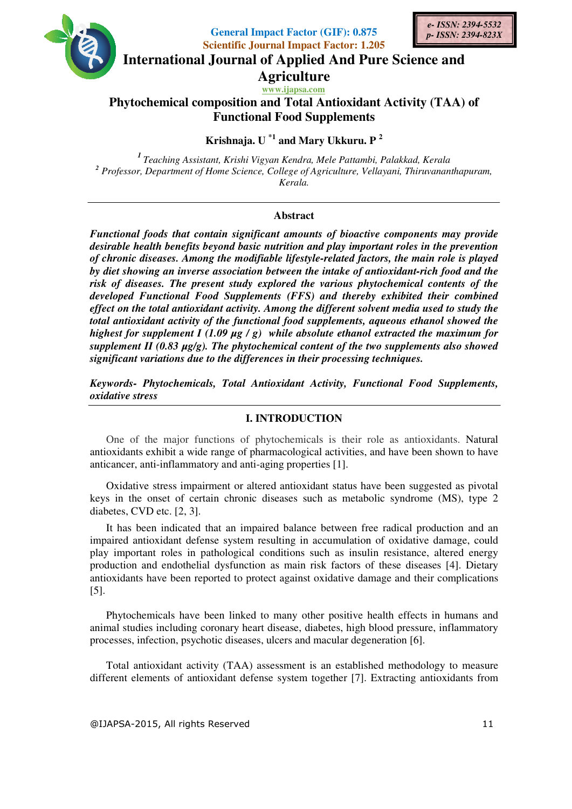

**General Impact Factor (GIF): 0.875 Scientific Journal Impact Factor: 1.205**



**International Journal of Applied And Pure Science and** 

**Agriculture**

**www.ijapsa.com Phytochemical composition and Total Antioxidant Activity (TAA) of Functional Food Supplements** 

**Krishnaja. U \*1 and Mary Ukkuru. P <sup>2</sup>**

*<sup>1</sup>Teaching Assistant, Krishi Vigyan Kendra, Mele Pattambi, Palakkad, Kerala*  <sup>2</sup> Professor, Department of Home Science, College of Agriculture, Vellayani, Thiruvananthapuram, *Kerala.* 

# **Abstract**

*Functional foods that contain significant amounts of bioactive components may provide desirable health benefits beyond basic nutrition and play important roles in the prevention of chronic diseases. Among the modifiable lifestyle-related factors, the main role is played by diet showing an inverse association between the intake of antioxidant-rich food and the risk of diseases. The present study explored the various phytochemical contents of the developed Functional Food Supplements (FFS) and thereby exhibited their combined effect on the total antioxidant activity. Among the different solvent media used to study the total antioxidant activity of the functional food supplements, aqueous ethanol showed the highest for supplement I (1.09 µg / g) while absolute ethanol extracted the maximum for supplement II (0.83 µg/g). The phytochemical content of the two supplements also showed significant variations due to the differences in their processing techniques.* 

*Keywords- Phytochemicals, Total Antioxidant Activity, Functional Food Supplements, oxidative stress* 

## **I. INTRODUCTION**

One of the major functions of phytochemicals is their role as antioxidants. Natural antioxidants exhibit a wide range of pharmacological activities, and have been shown to have anticancer, anti-inflammatory and anti-aging properties [1].

Oxidative stress impairment or altered antioxidant status have been suggested as pivotal keys in the onset of certain chronic diseases such as metabolic syndrome (MS), type 2 diabetes, CVD etc. [2, 3].

It has been indicated that an impaired balance between free radical production and an impaired antioxidant defense system resulting in accumulation of oxidative damage, could play important roles in pathological conditions such as insulin resistance, altered energy production and endothelial dysfunction as main risk factors of these diseases [4]. Dietary antioxidants have been reported to protect against oxidative damage and their complications [5].

Phytochemicals have been linked to many other positive health effects in humans and animal studies including coronary heart disease, diabetes, high blood pressure, inflammatory processes, infection, psychotic diseases, ulcers and macular degeneration [6].

Total antioxidant activity (TAA) assessment is an established methodology to measure different elements of antioxidant defense system together [7]. Extracting antioxidants from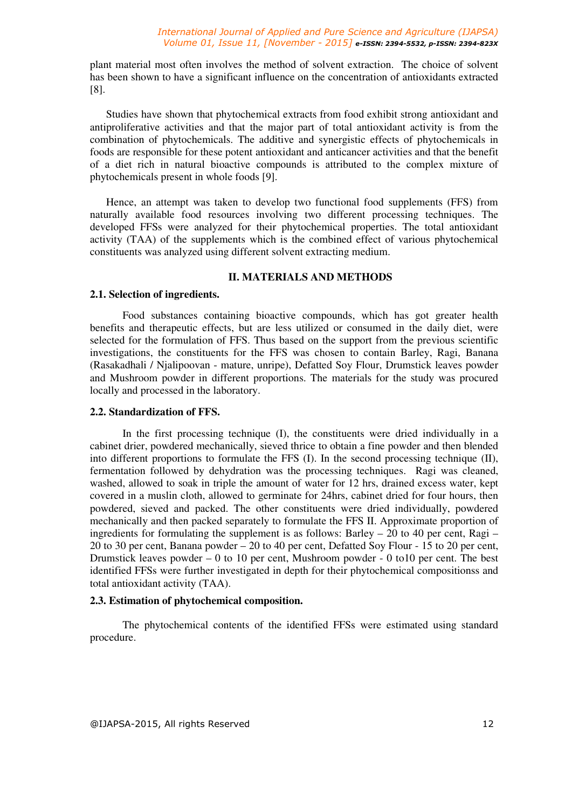plant material most often involves the method of solvent extraction. The choice of solvent has been shown to have a significant influence on the concentration of antioxidants extracted [8].

Studies have shown that phytochemical extracts from food exhibit strong antioxidant and antiproliferative activities and that the major part of total antioxidant activity is from the combination of phytochemicals. The additive and synergistic effects of phytochemicals in foods are responsible for these potent antioxidant and anticancer activities and that the benefit of a diet rich in natural bioactive compounds is attributed to the complex mixture of phytochemicals present in whole foods [9].

Hence, an attempt was taken to develop two functional food supplements (FFS) from naturally available food resources involving two different processing techniques. The developed FFSs were analyzed for their phytochemical properties. The total antioxidant activity (TAA) of the supplements which is the combined effect of various phytochemical constituents was analyzed using different solvent extracting medium.

## **II. MATERIALS AND METHODS**

## **2.1. Selection of ingredients.**

Food substances containing bioactive compounds, which has got greater health benefits and therapeutic effects, but are less utilized or consumed in the daily diet, were selected for the formulation of FFS. Thus based on the support from the previous scientific investigations, the constituents for the FFS was chosen to contain Barley, Ragi, Banana (Rasakadhali / Njalipoovan - mature, unripe), Defatted Soy Flour, Drumstick leaves powder and Mushroom powder in different proportions. The materials for the study was procured locally and processed in the laboratory.

## **2.2. Standardization of FFS.**

In the first processing technique (I), the constituents were dried individually in a cabinet drier, powdered mechanically, sieved thrice to obtain a fine powder and then blended into different proportions to formulate the FFS (I). In the second processing technique (II), fermentation followed by dehydration was the processing techniques. Ragi was cleaned, washed, allowed to soak in triple the amount of water for 12 hrs, drained excess water, kept covered in a muslin cloth, allowed to germinate for 24hrs, cabinet dried for four hours, then powdered, sieved and packed. The other constituents were dried individually, powdered mechanically and then packed separately to formulate the FFS II. Approximate proportion of ingredients for formulating the supplement is as follows: Barley – 20 to 40 per cent, Ragi – 20 to 30 per cent, Banana powder – 20 to 40 per cent, Defatted Soy Flour - 15 to 20 per cent, Drumstick leaves powder – 0 to 10 per cent, Mushroom powder - 0 to10 per cent. The best identified FFSs were further investigated in depth for their phytochemical compositionss and total antioxidant activity (TAA).

## **2.3. Estimation of phytochemical composition.**

The phytochemical contents of the identified FFSs were estimated using standard procedure.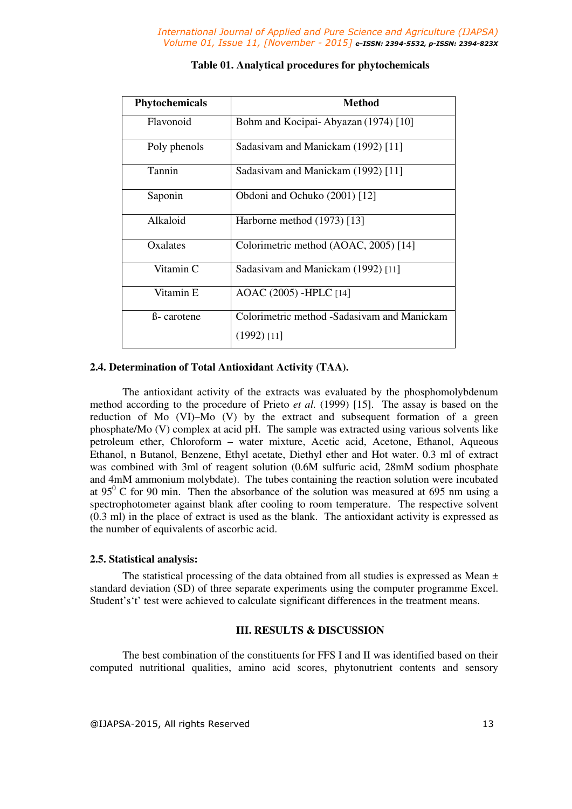| Phytochemicals       | Method                                      |  |  |
|----------------------|---------------------------------------------|--|--|
| Flavonoid            | Bohm and Kocipai-Abyazan (1974) [10]        |  |  |
| Poly phenols         | Sadasivam and Manickam (1992) [11]          |  |  |
| Tannin               | Sadasivam and Manickam (1992) [11]          |  |  |
| Saponin              | Obdoni and Ochuko (2001) [12]               |  |  |
| Alkaloid             | Harborne method (1973) [13]                 |  |  |
| Oxalates             | Colorimetric method (AOAC, 2005) [14]       |  |  |
| Vitamin <sub>C</sub> | Sadasivam and Manickam (1992) [11]          |  |  |
| Vitamin E            | AOAC (2005) - HPLC [14]                     |  |  |
| ß- carotene          | Colorimetric method -Sadasivam and Manickam |  |  |
|                      | (1992) [11]                                 |  |  |

## **Table 01. Analytical procedures for phytochemicals**

## **2.4. Determination of Total Antioxidant Activity (TAA).**

The antioxidant activity of the extracts was evaluated by the phosphomolybdenum method according to the procedure of Prieto *et al.* (1999) [15]. The assay is based on the reduction of Mo (VI)–Mo (V) by the extract and subsequent formation of a green phosphate/Mo (V) complex at acid pH. The sample was extracted using various solvents like petroleum ether, Chloroform – water mixture, Acetic acid, Acetone, Ethanol, Aqueous Ethanol, n Butanol, Benzene, Ethyl acetate, Diethyl ether and Hot water. 0.3 ml of extract was combined with 3ml of reagent solution (0.6M sulfuric acid, 28mM sodium phosphate and 4mM ammonium molybdate). The tubes containing the reaction solution were incubated at  $95^{\circ}$  C for 90 min. Then the absorbance of the solution was measured at 695 nm using a spectrophotometer against blank after cooling to room temperature. The respective solvent (0.3 ml) in the place of extract is used as the blank. The antioxidant activity is expressed as the number of equivalents of ascorbic acid.

### **2.5. Statistical analysis:**

The statistical processing of the data obtained from all studies is expressed as Mean  $\pm$ standard deviation (SD) of three separate experiments using the computer programme Excel. Student's't' test were achieved to calculate significant differences in the treatment means.

## **III. RESULTS & DISCUSSION**

The best combination of the constituents for FFS I and II was identified based on their computed nutritional qualities, amino acid scores, phytonutrient contents and sensory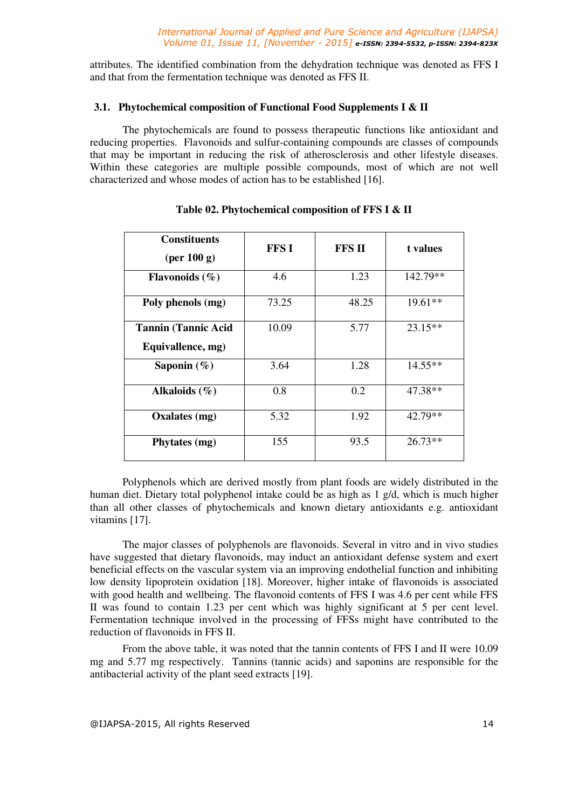attributes. The identified combination from the dehydration technique was denoted as FFS I and that from the fermentation technique was denoted as FFS II.

## **3.1. Phytochemical composition of Functional Food Supplements I & II**

The phytochemicals are found to possess therapeutic functions like antioxidant and reducing properties. Flavonoids and sulfur-containing compounds are classes of compounds that may be important in reducing the risk of atherosclerosis and other lifestyle diseases. Within these categories are multiple possible compounds, most of which are not well characterized and whose modes of action has to be established [16].

| <b>Constituents</b><br>$(\text{per }100 \text{ g})$ | <b>FFSI</b> | <b>FFS II</b> | t values  |
|-----------------------------------------------------|-------------|---------------|-----------|
| Flavonoids $(\% )$                                  | 4.6         | 1.23          | 142.79**  |
| Poly phenols (mg)                                   | 73.25       | 48.25         | $19.61**$ |
| <b>Tannin (Tannic Acid</b><br>Equivallence, mg)     | 10.09       | 5.77          | $23.15**$ |
| Saponin $(\%)$                                      | 3.64        | 1.28          | $14.55**$ |
| Alkaloids $(\% )$                                   | 0.8         | 0.2           | 47.38**   |
| Oxalates (mg)                                       | 5.32        | 1.92          | 42.79**   |
| Phytates (mg)                                       | 155         | 93.5          | $26.73**$ |

# **Table 02. Phytochemical composition of FFS I & II**

Polyphenols which are derived mostly from plant foods are widely distributed in the human diet. Dietary total polyphenol intake could be as high as 1 g/d, which is much higher than all other classes of phytochemicals and known dietary antioxidants e.g. antioxidant vitamins [17].

The major classes of polyphenols are flavonoids. Several in vitro and in vivo studies have suggested that dietary flavonoids, may induct an antioxidant defense system and exert beneficial effects on the vascular system via an improving endothelial function and inhibiting low density lipoprotein oxidation [18]. Moreover, higher intake of flavonoids is associated with good health and wellbeing. The flavonoid contents of FFS I was 4.6 per cent while FFS II was found to contain 1.23 per cent which was highly significant at 5 per cent level. Fermentation technique involved in the processing of FFSs might have contributed to the reduction of flavonoids in FFS II.

From the above table, it was noted that the tannin contents of FFS I and II were 10.09 mg and 5.77 mg respectively. Tannins (tannic acids) and saponins are responsible for the antibacterial activity of the plant seed extracts [19].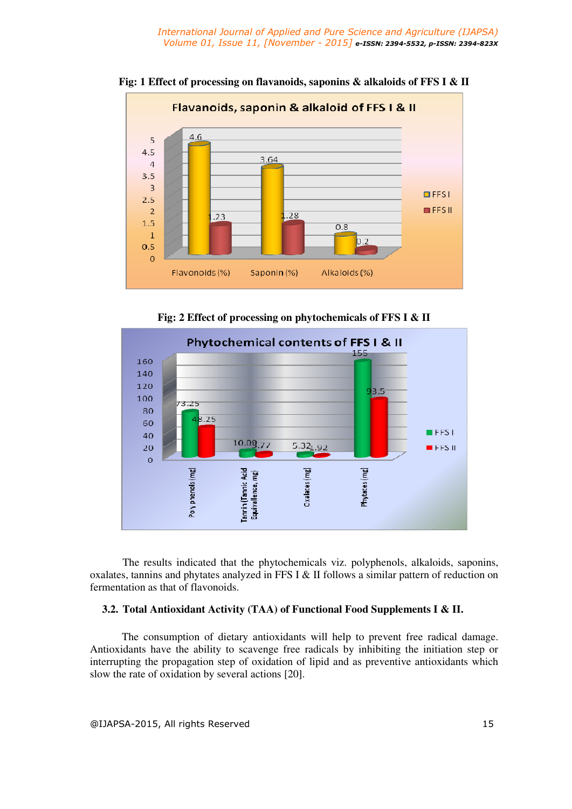

**Fig: 1 Effect of processing on flavanoids, saponins & alkaloids of FFS I & II** 

**Fig: 2 Effect of processing on phytochemicals of FFS I & II**



The results indicated that the phytochemicals viz. polyphenols, alkaloids, saponins, oxalates, tannins and phytates analyzed in FFS I & II follows a similar pattern of reduction on fermentation as that of flavonoids.

## **3.2. Total Antioxidant Activity (TAA) of Functional Food Supplements I & II.**

The consumption of dietary antioxidants will help to prevent free radical damage. Antioxidants have the ability to scavenge free radicals by inhibiting the initiation step or interrupting the propagation step of oxidation of lipid and as preventive antioxidants which slow the rate of oxidation by several actions [20].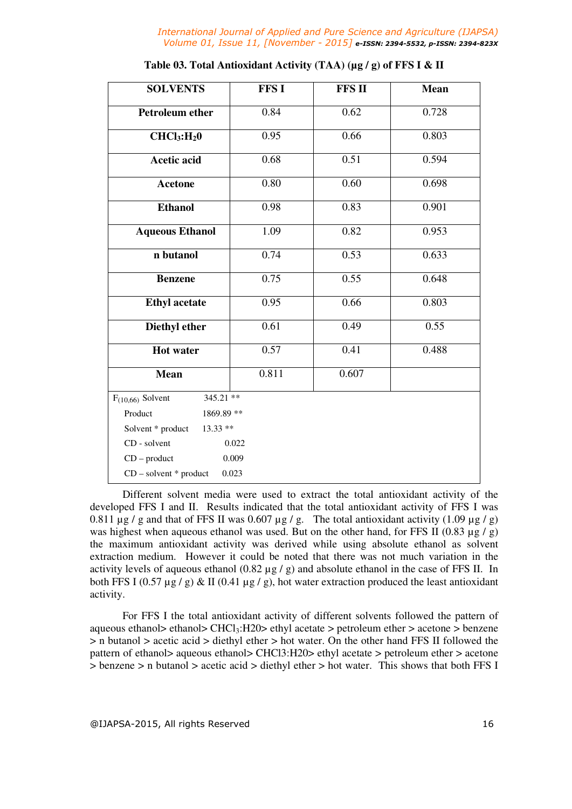*International Journal of Applied and Pure Science and Agriculture (IJAPSA) Volume 01, Issue 11, [November - 2015] e-ISSN: 2394-5532, p-ISSN: 2394-823X*

| <b>SOLVENTS</b>                     | <b>FFS I</b> | <b>FFS II</b> | <b>Mean</b> |  |
|-------------------------------------|--------------|---------------|-------------|--|
| <b>Petroleum ether</b>              | 0.84         | 0.62          | 0.728       |  |
| CHCl <sub>3</sub> :H <sub>2</sub> 0 | 0.95         | 0.66          | 0.803       |  |
| <b>Acetic acid</b>                  | 0.68         | 0.51          | 0.594       |  |
| <b>Acetone</b>                      | 0.80         | 0.60          | 0.698       |  |
| <b>Ethanol</b>                      | 0.98         | 0.83          | 0.901       |  |
| <b>Aqueous Ethanol</b>              | 1.09         | 0.82          | 0.953       |  |
| n butanol                           | 0.74         | 0.53          | 0.633       |  |
| <b>Benzene</b>                      | 0.75         | 0.55          | 0.648       |  |
| <b>Ethyl</b> acetate                | 0.95         | 0.66          | 0.803       |  |
| Diethyl ether                       | 0.61         | 0.49          | 0.55        |  |
| <b>Hot water</b>                    | 0.57         | 0.41          | 0.488       |  |
| <b>Mean</b>                         | 0.811        | 0.607         |             |  |
| 345.21 **<br>$F_{(10,66)}$ Solvent  |              |               |             |  |
| Product<br>1869.89 **               |              |               |             |  |
| $13.33$ **<br>Solvent * product     |              |               |             |  |
| CD - solvent<br>0.022               |              |               |             |  |
| 0.009<br>$CD$ – product             |              |               |             |  |
| $CD$ – solvent $*$ product<br>0.023 |              |               |             |  |

Different solvent media were used to extract the total antioxidant activity of the developed FFS I and II. Results indicated that the total antioxidant activity of FFS I was 0.811  $\mu$ g / g and that of FFS II was 0.607  $\mu$ g / g. The total antioxidant activity (1.09  $\mu$ g / g) was highest when aqueous ethanol was used. But on the other hand, for FFS II (0.83  $\mu$ g / g) the maximum antioxidant activity was derived while using absolute ethanol as solvent extraction medium. However it could be noted that there was not much variation in the activity levels of aqueous ethanol (0.82 µg / g) and absolute ethanol in the case of FFS II. In both FFS I (0.57  $\mu$ g / g) & II (0.41  $\mu$ g / g), hot water extraction produced the least antioxidant activity.

For FFS I the total antioxidant activity of different solvents followed the pattern of aqueous ethanol> ethanol>  $CHCl<sub>3</sub>:H20>$  ethyl acetate > petroleum ether > acetone > benzene > n butanol > acetic acid > diethyl ether > hot water. On the other hand FFS II followed the pattern of ethanol> aqueous ethanol> CHCl3:H20> ethyl acetate > petroleum ether > acetone > benzene > n butanol > acetic acid > diethyl ether > hot water. This shows that both FFS I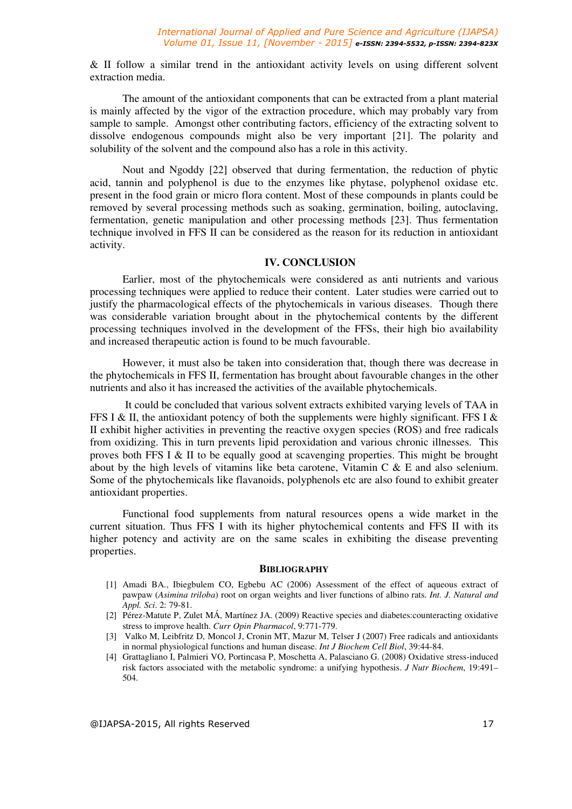& II follow a similar trend in the antioxidant activity levels on using different solvent extraction media.

The amount of the antioxidant components that can be extracted from a plant material is mainly affected by the vigor of the extraction procedure, which may probably vary from sample to sample. Amongst other contributing factors, efficiency of the extracting solvent to dissolve endogenous compounds might also be very important [21]. The polarity and solubility of the solvent and the compound also has a role in this activity.

Nout and Ngoddy [22] observed that during fermentation, the reduction of phytic acid, tannin and polyphenol is due to the enzymes like phytase, polyphenol oxidase etc. present in the food grain or micro flora content. Most of these compounds in plants could be removed by several processing methods such as soaking, germination, boiling, autoclaving, fermentation, genetic manipulation and other processing methods [23]. Thus fermentation technique involved in FFS II can be considered as the reason for its reduction in antioxidant activity.

### **IV. CONCLUSION**

Earlier, most of the phytochemicals were considered as anti nutrients and various processing techniques were applied to reduce their content. Later studies were carried out to justify the pharmacological effects of the phytochemicals in various diseases. Though there was considerable variation brought about in the phytochemical contents by the different processing techniques involved in the development of the FFSs, their high bio availability and increased therapeutic action is found to be much favourable.

However, it must also be taken into consideration that, though there was decrease in the phytochemicals in FFS II, fermentation has brought about favourable changes in the other nutrients and also it has increased the activities of the available phytochemicals.

 It could be concluded that various solvent extracts exhibited varying levels of TAA in FFS I & II, the antioxidant potency of both the supplements were highly significant. FFS I & II exhibit higher activities in preventing the reactive oxygen species (ROS) and free radicals from oxidizing. This in turn prevents lipid peroxidation and various chronic illnesses. This proves both FFS I & II to be equally good at scavenging properties. This might be brought about by the high levels of vitamins like beta carotene, Vitamin C & E and also selenium. Some of the phytochemicals like flavanoids, polyphenols etc are also found to exhibit greater antioxidant properties.

Functional food supplements from natural resources opens a wide market in the current situation. Thus FFS I with its higher phytochemical contents and FFS II with its higher potency and activity are on the same scales in exhibiting the disease preventing properties.

#### **BIBLIOGRAPHY**

- [1] Amadi BA., Ibiegbulem CO, Egbebu AC (2006) Assessment of the effect of aqueous extract of pawpaw (*Asimina triloba*) root on organ weights and liver functions of albino rats. *Int. J. Natural and Appl. Sci*. 2: 79-81.
- [2] Pérez-Matute P, Zulet MÁ, Martínez JA. (2009) Reactive species and diabetes:counteracting oxidative stress to improve health. *Curr Opin Pharmacol*, 9:771-779.
- [3] Valko M, Leibfritz D, Moncol J, Cronin MT, Mazur M, Telser J (2007) Free radicals and antioxidants in normal physiological functions and human disease. *Int J Biochem Cell Biol*, 39:44-84.
- [4] Grattagliano I, Palmieri VO, Portincasa P, Moschetta A, Palasciano G. (2008) Oxidative stress-induced risk factors associated with the metabolic syndrome: a unifying hypothesis. *J Nutr Biochem*, 19:491– 504.